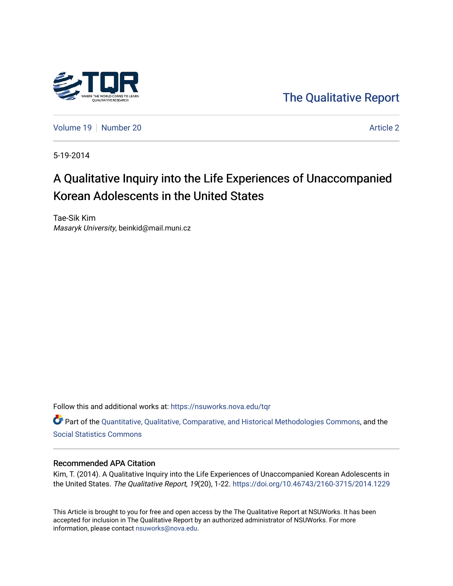

[The Qualitative Report](https://nsuworks.nova.edu/tqr) 

[Volume 19](https://nsuworks.nova.edu/tqr/vol19) [Number 20](https://nsuworks.nova.edu/tqr/vol19/iss20) Article 2

5-19-2014

# A Qualitative Inquiry into the Life Experiences of Unaccompanied Korean Adolescents in the United States

Tae-Sik Kim Masaryk University, beinkid@mail.muni.cz

Follow this and additional works at: [https://nsuworks.nova.edu/tqr](https://nsuworks.nova.edu/tqr?utm_source=nsuworks.nova.edu%2Ftqr%2Fvol19%2Fiss20%2F2&utm_medium=PDF&utm_campaign=PDFCoverPages) 

Part of the [Quantitative, Qualitative, Comparative, and Historical Methodologies Commons,](http://network.bepress.com/hgg/discipline/423?utm_source=nsuworks.nova.edu%2Ftqr%2Fvol19%2Fiss20%2F2&utm_medium=PDF&utm_campaign=PDFCoverPages) and the [Social Statistics Commons](http://network.bepress.com/hgg/discipline/1275?utm_source=nsuworks.nova.edu%2Ftqr%2Fvol19%2Fiss20%2F2&utm_medium=PDF&utm_campaign=PDFCoverPages) 

#### Recommended APA Citation

Kim, T. (2014). A Qualitative Inquiry into the Life Experiences of Unaccompanied Korean Adolescents in the United States. The Qualitative Report, 19(20), 1-22. <https://doi.org/10.46743/2160-3715/2014.1229>

This Article is brought to you for free and open access by the The Qualitative Report at NSUWorks. It has been accepted for inclusion in The Qualitative Report by an authorized administrator of NSUWorks. For more information, please contact [nsuworks@nova.edu.](mailto:nsuworks@nova.edu)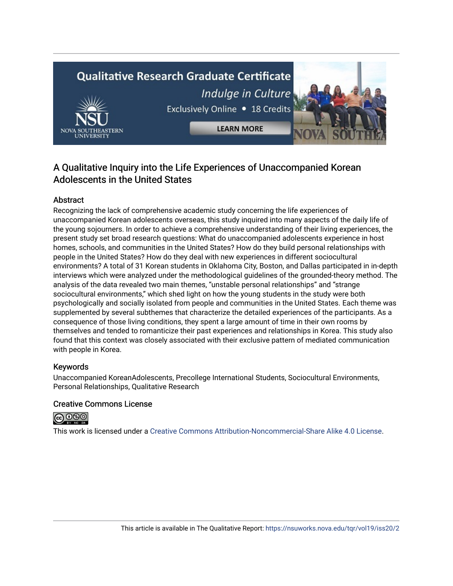# **Qualitative Research Graduate Certificate** Indulge in Culture Exclusively Online . 18 Credits **LEARN MORE**



# A Qualitative Inquiry into the Life Experiences of Unaccompanied Korean Adolescents in the United States

# Abstract

Recognizing the lack of comprehensive academic study concerning the life experiences of unaccompanied Korean adolescents overseas, this study inquired into many aspects of the daily life of the young sojourners. In order to achieve a comprehensive understanding of their living experiences, the present study set broad research questions: What do unaccompanied adolescents experience in host homes, schools, and communities in the United States? How do they build personal relationships with people in the United States? How do they deal with new experiences in different sociocultural environments? A total of 31 Korean students in Oklahoma City, Boston, and Dallas participated in in-depth interviews which were analyzed under the methodological guidelines of the grounded-theory method. The analysis of the data revealed two main themes, "unstable personal relationships" and "strange sociocultural environments," which shed light on how the young students in the study were both psychologically and socially isolated from people and communities in the United States. Each theme was supplemented by several subthemes that characterize the detailed experiences of the participants. As a consequence of those living conditions, they spent a large amount of time in their own rooms by themselves and tended to romanticize their past experiences and relationships in Korea. This study also found that this context was closely associated with their exclusive pattern of mediated communication with people in Korea.

# Keywords

Unaccompanied KoreanAdolescents, Precollege International Students, Sociocultural Environments, Personal Relationships, Qualitative Research

# Creative Commons License



This work is licensed under a [Creative Commons Attribution-Noncommercial-Share Alike 4.0 License](https://creativecommons.org/licenses/by-nc-sa/4.0/).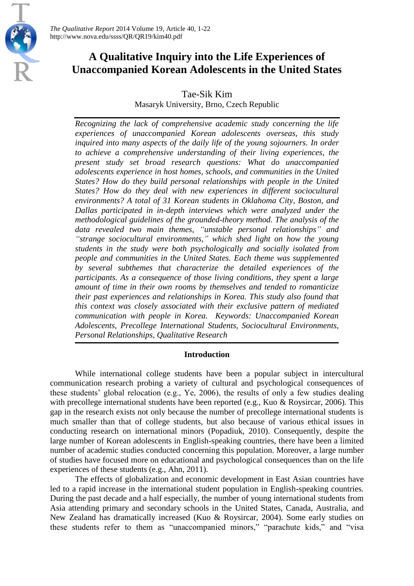# **A Qualitative Inquiry into the Life Experiences of Unaccompanied Korean Adolescents in the United States**

Tae-Sik Kim

Masaryk University, Brno, Czech Republic

*Recognizing the lack of comprehensive academic study concerning the life experiences of unaccompanied Korean adolescents overseas, this study inquired into many aspects of the daily life of the young sojourners. In order to achieve a comprehensive understanding of their living experiences, the present study set broad research questions: What do unaccompanied adolescents experience in host homes, schools, and communities in the United States? How do they build personal relationships with people in the United States? How do they deal with new experiences in different sociocultural environments? A total of 31 Korean students in Oklahoma City, Boston, and Dallas participated in in-depth interviews which were analyzed under the methodological guidelines of the grounded-theory method. The analysis of the data revealed two main themes, "unstable personal relationships" and "strange sociocultural environments," which shed light on how the young students in the study were both psychologically and socially isolated from people and communities in the United States. Each theme was supplemented by several subthemes that characterize the detailed experiences of the participants. As a consequence of those living conditions, they spent a large amount of time in their own rooms by themselves and tended to romanticize their past experiences and relationships in Korea. This study also found that this context was closely associated with their exclusive pattern of mediated communication with people in Korea. Keywords: Unaccompanied Korean Adolescents, Precollege International Students, Sociocultural Environments, Personal Relationships, Qualitative Research*

# **Introduction**

While international college students have been a popular subject in intercultural communication research probing a variety of cultural and psychological consequences of these students' global relocation (e.g., Ye, 2006), the results of only a few studies dealing with precollege international students have been reported (e.g., Kuo & Roysircar, 2006). This gap in the research exists not only because the number of precollege international students is much smaller than that of college students, but also because of various ethical issues in conducting research on international minors (Popadiuk, 2010). Consequently, despite the large number of Korean adolescents in English-speaking countries, there have been a limited number of academic studies conducted concerning this population. Moreover, a large number of studies have focused more on educational and psychological consequences than on the life experiences of these students (e.g., Ahn, 2011).

The effects of globalization and economic development in East Asian countries have led to a rapid increase in the international student population in English-speaking countries. During the past decade and a half especially, the number of young international students from Asia attending primary and secondary schools in the United States, Canada, Australia, and New Zealand has dramatically increased (Kuo & Roysircar, 2004). Some early studies on these students refer to them as "unaccompanied minors," "parachute kids," and "visa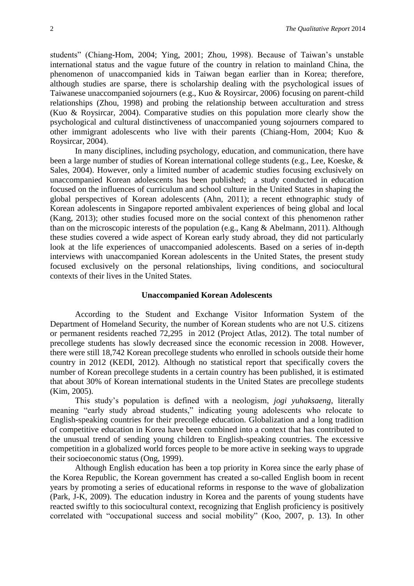students" (Chiang-Hom, 2004; Ying, 2001; Zhou, 1998). Because of Taiwan's unstable international status and the vague future of the country in relation to mainland China, the phenomenon of unaccompanied kids in Taiwan began earlier than in Korea; therefore, although studies are sparse, there is scholarship dealing with the psychological issues of Taiwanese unaccompanied sojourners (e.g., Kuo & Roysircar, 2006) focusing on parent-child relationships (Zhou, 1998) and probing the relationship between acculturation and stress (Kuo & Roysircar, 2004). Comparative studies on this population more clearly show the psychological and cultural distinctiveness of unaccompanied young sojourners compared to other immigrant adolescents who live with their parents (Chiang-Hom, 2004; Kuo & Roysircar, 2004).

In many disciplines, including psychology, education, and communication, there have been a large number of studies of Korean international college students (e.g., Lee, Koeske, & Sales, 2004). However, only a limited number of academic studies focusing exclusively on unaccompanied Korean adolescents has been published; a study conducted in education focused on the influences of curriculum and school culture in the United States in shaping the global perspectives of Korean adolescents (Ahn, 2011); a recent ethnographic study of Korean adolescents in Singapore reported ambivalent experiences of being global and local (Kang, 2013); other studies focused more on the social context of this phenomenon rather than on the microscopic interests of the population (e.g., Kang & Abelmann, 2011). Although these studies covered a wide aspect of Korean early study abroad, they did not particularly look at the life experiences of unaccompanied adolescents. Based on a series of in-depth interviews with unaccompanied Korean adolescents in the United States, the present study focused exclusively on the personal relationships, living conditions, and sociocultural contexts of their lives in the United States.

#### **Unaccompanied Korean Adolescents**

According to the Student and Exchange Visitor Information System of the Department of Homeland Security, the number of Korean students who are not U.S. citizens or permanent residents reached 72,295 in 2012 (Project Atlas, 2012). The total number of precollege students has slowly decreased since the economic recession in 2008. However, there were still 18,742 Korean precollege students who enrolled in schools outside their home country in 2012 (KEDI, 2012). Although no statistical report that specifically covers the number of Korean precollege students in a certain country has been published, it is estimated that about 30% of Korean international students in the United States are precollege students (Kim, 2005).

This study's population is defined with a neologism, *jogi yuhaksaeng*, literally meaning "early study abroad students," indicating young adolescents who relocate to English-speaking countries for their precollege education. Globalization and a long tradition of competitive education in Korea have been combined into a context that has contributed to the unusual trend of sending young children to English-speaking countries. The excessive competition in a globalized world forces people to be more active in seeking ways to upgrade their socioeconomic status (Ong, 1999).

Although English education has been a top priority in Korea since the early phase of the Korea Republic, the Korean government has created a so-called English boom in recent years by promoting a series of educational reforms in response to the wave of globalization (Park, J-K, 2009). The education industry in Korea and the parents of young students have reacted swiftly to this sociocultural context, recognizing that English proficiency is positively correlated with "occupational success and social mobility" (Koo, 2007, p. 13). In other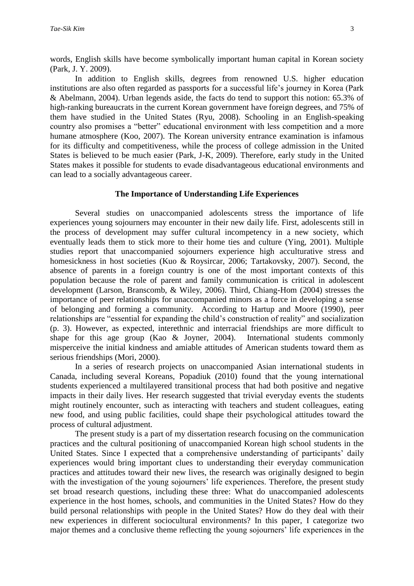words, English skills have become symbolically important human capital in Korean society (Park, J. Y. 2009).

In addition to English skills, degrees from renowned U.S. higher education institutions are also often regarded as passports for a successful life's journey in Korea (Park & Abelmann, 2004). Urban legends aside, the facts do tend to support this notion: 65.3% of high-ranking bureaucrats in the current Korean government have foreign degrees, and 75% of them have studied in the United States (Ryu, 2008). Schooling in an English-speaking country also promises a "better" educational environment with less competition and a more humane atmosphere (Koo, 2007). The Korean university entrance examination is infamous for its difficulty and competitiveness, while the process of college admission in the United States is believed to be much easier (Park, J-K, 2009). Therefore, early study in the United States makes it possible for students to evade disadvantageous educational environments and can lead to a socially advantageous career.

### **The Importance of Understanding Life Experiences**

Several studies on unaccompanied adolescents stress the importance of life experiences young sojourners may encounter in their new daily life. First, adolescents still in the process of development may suffer cultural incompetency in a new society, which eventually leads them to stick more to their home ties and culture (Ying, 2001). Multiple studies report that unaccompanied sojourners experience high acculturative stress and homesickness in host societies (Kuo & Roysircar, 2006; Tartakovsky, 2007). Second, the absence of parents in a foreign country is one of the most important contexts of this population because the role of parent and family communication is critical in adolescent development (Larson, Branscomb, & Wiley, 2006). Third, Chiang-Hom (2004) stresses the importance of peer relationships for unaccompanied minors as a force in developing a sense of belonging and forming a community. According to Hartup and Moore (1990), peer relationships are "essential for expanding the child's construction of reality" and socialization (p. 3). However, as expected, interethnic and interracial friendships are more difficult to shape for this age group (Kao & Joyner, 2004). International students commonly misperceive the initial kindness and amiable attitudes of American students toward them as serious friendships (Mori, 2000).

In a series of research projects on unaccompanied Asian international students in Canada, including several Koreans, Popadiuk (2010) found that the young international students experienced a multilayered transitional process that had both positive and negative impacts in their daily lives. Her research suggested that trivial everyday events the students might routinely encounter, such as interacting with teachers and student colleagues, eating new food, and using public facilities, could shape their psychological attitudes toward the process of cultural adjustment.

The present study is a part of my dissertation research focusing on the communication practices and the cultural positioning of unaccompanied Korean high school students in the United States. Since I expected that a comprehensive understanding of participants' daily experiences would bring important clues to understanding their everyday communication practices and attitudes toward their new lives, the research was originally designed to begin with the investigation of the young sojourners' life experiences. Therefore, the present study set broad research questions, including these three: What do unaccompanied adolescents experience in the host homes, schools, and communities in the United States? How do they build personal relationships with people in the United States? How do they deal with their new experiences in different sociocultural environments? In this paper, I categorize two major themes and a conclusive theme reflecting the young sojourners' life experiences in the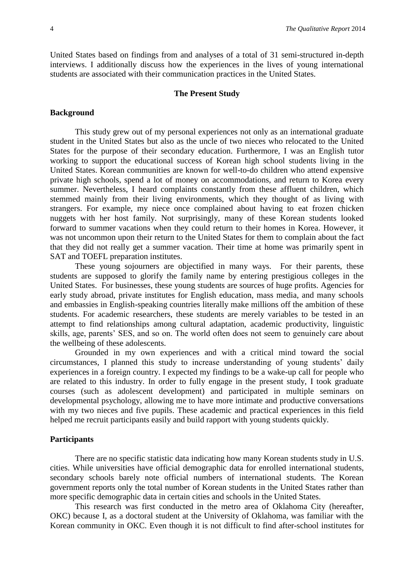United States based on findings from and analyses of a total of 31 semi-structured in-depth interviews. I additionally discuss how the experiences in the lives of young international students are associated with their communication practices in the United States.

#### **The Present Study**

#### **Background**

This study grew out of my personal experiences not only as an international graduate student in the United States but also as the uncle of two nieces who relocated to the United States for the purpose of their secondary education. Furthermore, I was an English tutor working to support the educational success of Korean high school students living in the United States. Korean communities are known for well-to-do children who attend expensive private high schools, spend a lot of money on accommodations, and return to Korea every summer. Nevertheless, I heard complaints constantly from these affluent children, which stemmed mainly from their living environments, which they thought of as living with strangers. For example, my niece once complained about having to eat frozen chicken nuggets with her host family. Not surprisingly, many of these Korean students looked forward to summer vacations when they could return to their homes in Korea. However, it was not uncommon upon their return to the United States for them to complain about the fact that they did not really get a summer vacation. Their time at home was primarily spent in SAT and TOEFL preparation institutes.

These young sojourners are objectified in many ways. For their parents, these students are supposed to glorify the family name by entering prestigious colleges in the United States. For businesses, these young students are sources of huge profits. Agencies for early study abroad, private institutes for English education, mass media, and many schools and embassies in English-speaking countries literally make millions off the ambition of these students. For academic researchers, these students are merely variables to be tested in an attempt to find relationships among cultural adaptation, academic productivity, linguistic skills, age, parents' SES, and so on. The world often does not seem to genuinely care about the wellbeing of these adolescents.

Grounded in my own experiences and with a critical mind toward the social circumstances, I planned this study to increase understanding of young students' daily experiences in a foreign country. I expected my findings to be a wake-up call for people who are related to this industry. In order to fully engage in the present study, I took graduate courses (such as adolescent development) and participated in multiple seminars on developmental psychology, allowing me to have more intimate and productive conversations with my two nieces and five pupils. These academic and practical experiences in this field helped me recruit participants easily and build rapport with young students quickly.

#### **Participants**

There are no specific statistic data indicating how many Korean students study in U.S. cities. While universities have official demographic data for enrolled international students, secondary schools barely note official numbers of international students. The Korean government reports only the total number of Korean students in the United States rather than more specific demographic data in certain cities and schools in the United States.

This research was first conducted in the metro area of Oklahoma City (hereafter, OKC) because I, as a doctoral student at the University of Oklahoma, was familiar with the Korean community in OKC. Even though it is not difficult to find after-school institutes for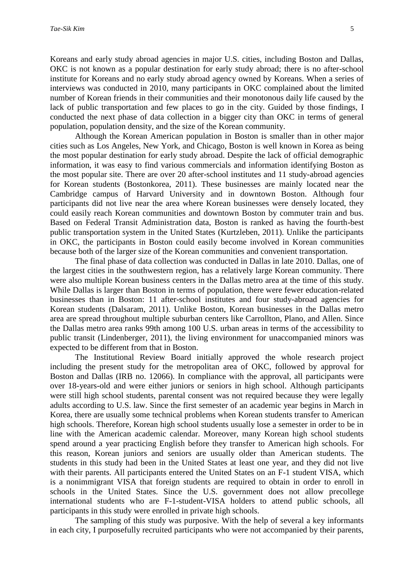Koreans and early study abroad agencies in major U.S. cities, including Boston and Dallas, OKC is not known as a popular destination for early study abroad; there is no after-school institute for Koreans and no early study abroad agency owned by Koreans. When a series of interviews was conducted in 2010, many participants in OKC complained about the limited number of Korean friends in their communities and their monotonous daily life caused by the lack of public transportation and few places to go in the city. Guided by those findings, I conducted the next phase of data collection in a bigger city than OKC in terms of general population, population density, and the size of the Korean community.

Although the Korean American population in Boston is smaller than in other major cities such as Los Angeles, New York, and Chicago, Boston is well known in Korea as being the most popular destination for early study abroad. Despite the lack of official demographic information, it was easy to find various commercials and information identifying Boston as the most popular site. There are over 20 after-school institutes and 11 study-abroad agencies for Korean students (Bostonkorea, 2011). These businesses are mainly located near the Cambridge campus of Harvard University and in downtown Boston. Although four participants did not live near the area where Korean businesses were densely located, they could easily reach Korean communities and downtown Boston by commuter train and bus. Based on Federal Transit Administration data, Boston is ranked as having the fourth-best public transportation system in the United States (Kurtzleben, 2011). Unlike the participants in OKC, the participants in Boston could easily become involved in Korean communities because both of the larger size of the Korean communities and convenient transportation.

The final phase of data collection was conducted in Dallas in late 2010. Dallas, one of the largest cities in the southwestern region, has a relatively large Korean community. There were also multiple Korean business centers in the Dallas metro area at the time of this study. While Dallas is larger than Boston in terms of population, there were fewer education-related businesses than in Boston: 11 after-school institutes and four study-abroad agencies for Korean students (Dalsaram, 2011). Unlike Boston, Korean businesses in the Dallas metro area are spread throughout multiple suburban centers like Carrollton, Plano, and Allen. Since the Dallas metro area ranks 99th among 100 U.S. urban areas in terms of the accessibility to public transit (Lindenberger, 2011), the living environment for unaccompanied minors was expected to be different from that in Boston.

The Institutional Review Board initially approved the whole research project including the present study for the metropolitan area of OKC, followed by approval for Boston and Dallas (IRB no. 12066). In compliance with the approval, all participants were over 18-years-old and were either juniors or seniors in high school. Although participants were still high school students, parental consent was not required because they were legally adults according to U.S. law. Since the first semester of an academic year begins in March in Korea, there are usually some technical problems when Korean students transfer to American high schools. Therefore, Korean high school students usually lose a semester in order to be in line with the American academic calendar. Moreover, many Korean high school students spend around a year practicing English before they transfer to American high schools. For this reason, Korean juniors and seniors are usually older than American students. The students in this study had been in the United States at least one year, and they did not live with their parents. All participants entered the United States on an F-1 student VISA, which is a nonimmigrant VISA that foreign students are required to obtain in order to enroll in schools in the United States. Since the U.S. government does not allow precollege international students who are F-1-student-VISA holders to attend public schools, all participants in this study were enrolled in private high schools.

The sampling of this study was purposive. With the help of several a key informants in each city, I purposefully recruited participants who were not accompanied by their parents,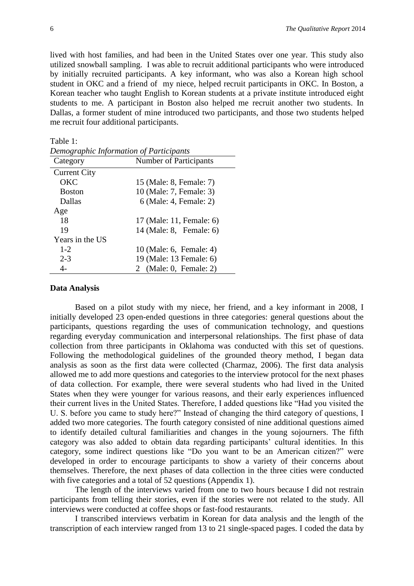lived with host families, and had been in the United States over one year. This study also utilized snowball sampling. I was able to recruit additional participants who were introduced by initially recruited participants. A key informant, who was also a Korean high school student in OKC and a friend of my niece, helped recruit participants in OKC. In Boston, a Korean teacher who taught English to Korean students at a private institute introduced eight students to me. A participant in Boston also helped me recruit another two students. In Dallas, a former student of mine introduced two participants, and those two students helped me recruit four additional participants.

| 1 avrs 1.                               |                               |  |  |  |
|-----------------------------------------|-------------------------------|--|--|--|
| Demographic Information of Participants |                               |  |  |  |
| Category                                | <b>Number of Participants</b> |  |  |  |
| <b>Current City</b>                     |                               |  |  |  |
| OKC                                     | 15 (Male: 8, Female: 7)       |  |  |  |
| <b>Boston</b>                           | 10 (Male: 7, Female: 3)       |  |  |  |
| <b>Dallas</b>                           | 6 (Male: 4, Female: 2)        |  |  |  |
| Age                                     |                               |  |  |  |
| 18                                      | 17 (Male: 11, Female: 6)      |  |  |  |
| 19                                      | 14 (Male: 8, Female: 6)       |  |  |  |
| Years in the US                         |                               |  |  |  |
| $1 - 2$                                 | 10 (Male: 6, Female: 4)       |  |  |  |
| $2 - 3$                                 | 19 (Male: 13 Female: 6)       |  |  |  |
|                                         | 2 (Male: 0, Female: 2)        |  |  |  |

Table 1:

#### **Data Analysis**

Based on a pilot study with my niece, her friend, and a key informant in 2008, I initially developed 23 open-ended questions in three categories: general questions about the participants, questions regarding the uses of communication technology, and questions regarding everyday communication and interpersonal relationships. The first phase of data collection from three participants in Oklahoma was conducted with this set of questions. Following the methodological guidelines of the grounded theory method, I began data analysis as soon as the first data were collected (Charmaz, 2006). The first data analysis allowed me to add more questions and categories to the interview protocol for the next phases of data collection. For example, there were several students who had lived in the United States when they were younger for various reasons, and their early experiences influenced their current lives in the United States. Therefore, I added questions like "Had you visited the U. S. before you came to study here?" Instead of changing the third category of questions, I added two more categories. The fourth category consisted of nine additional questions aimed to identify detailed cultural familiarities and changes in the young sojourners. The fifth category was also added to obtain data regarding participants' cultural identities. In this category, some indirect questions like "Do you want to be an American citizen?" were developed in order to encourage participants to show a variety of their concerns about themselves. Therefore, the next phases of data collection in the three cities were conducted with five categories and a total of 52 questions (Appendix 1).

The length of the interviews varied from one to two hours because I did not restrain participants from telling their stories, even if the stories were not related to the study. All interviews were conducted at coffee shops or fast-food restaurants.

I transcribed interviews verbatim in Korean for data analysis and the length of the transcription of each interview ranged from 13 to 21 single-spaced pages. I coded the data by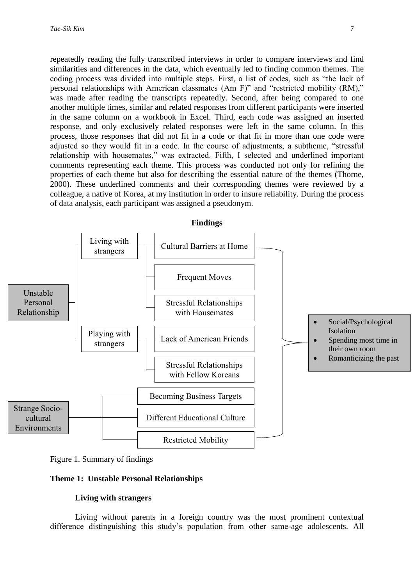repeatedly reading the fully transcribed interviews in order to compare interviews and find similarities and differences in the data, which eventually led to finding common themes. The coding process was divided into multiple steps. First, a list of codes, such as "the lack of personal relationships with American classmates (Am F)" and "restricted mobility (RM)," was made after reading the transcripts repeatedly. Second, after being compared to one another multiple times, similar and related responses from different participants were inserted in the same column on a workbook in Excel. Third, each code was assigned an inserted response, and only exclusively related responses were left in the same column. In this process, those responses that did not fit in a code or that fit in more than one code were adjusted so they would fit in a code. In the course of adjustments, a subtheme, "stressful relationship with housemates," was extracted. Fifth, I selected and underlined important comments representing each theme. This process was conducted not only for refining the properties of each theme but also for describing the essential nature of the themes (Thorne, 2000). These underlined comments and their corresponding themes were reviewed by a colleague, a native of Korea, at my institution in order to insure reliability. During the process of data analysis, each participant was assigned a pseudonym.





#### **Theme 1: Unstable Personal Relationships**

#### **Living with strangers**

Living without parents in a foreign country was the most prominent contextual difference distinguishing this study's population from other same-age adolescents. All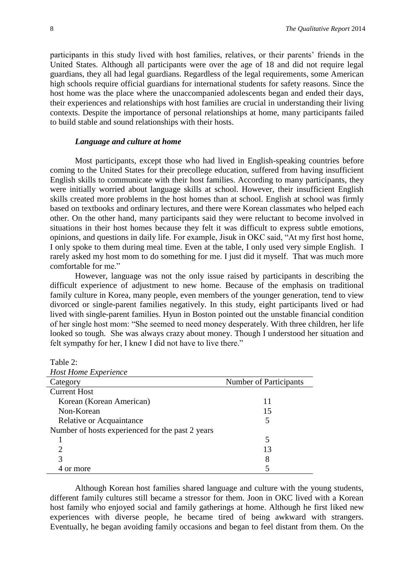participants in this study lived with host families, relatives, or their parents' friends in the United States. Although all participants were over the age of 18 and did not require legal guardians, they all had legal guardians. Regardless of the legal requirements, some American high schools require official guardians for international students for safety reasons. Since the host home was the place where the unaccompanied adolescents began and ended their days, their experiences and relationships with host families are crucial in understanding their living contexts. Despite the importance of personal relationships at home, many participants failed to build stable and sound relationships with their hosts.

# *Language and culture at home*

Most participants, except those who had lived in English-speaking countries before coming to the United States for their precollege education, suffered from having insufficient English skills to communicate with their host families. According to many participants, they were initially worried about language skills at school. However, their insufficient English skills created more problems in the host homes than at school. English at school was firmly based on textbooks and ordinary lectures, and there were Korean classmates who helped each other. On the other hand, many participants said they were reluctant to become involved in situations in their host homes because they felt it was difficult to express subtle emotions, opinions, and questions in daily life. For example, Jisuk in OKC said, "At my first host home, I only spoke to them during meal time. Even at the table, I only used very simple English. I rarely asked my host mom to do something for me. I just did it myself. That was much more comfortable for me."

However, language was not the only issue raised by participants in describing the difficult experience of adjustment to new home. Because of the emphasis on traditional family culture in Korea, many people, even members of the younger generation, tend to view divorced or single-parent families negatively. In this study, eight participants lived or had lived with single-parent families. Hyun in Boston pointed out the unstable financial condition of her single host mom: "She seemed to need money desperately. With three children, her life looked so tough. She was always crazy about money. Though I understood her situation and felt sympathy for her, I knew I did not have to live there."

| <b>Table</b> |  |
|--------------|--|
|--------------|--|

| <b>Host Home Experience</b>                      |                               |  |
|--------------------------------------------------|-------------------------------|--|
| Category                                         | <b>Number of Participants</b> |  |
| <b>Current Host</b>                              |                               |  |
| Korean (Korean American)                         | 11                            |  |
| Non-Korean                                       | 15                            |  |
| Relative or Acquaintance                         | 5                             |  |
| Number of hosts experienced for the past 2 years |                               |  |
|                                                  | 5                             |  |
|                                                  | 13                            |  |
|                                                  | 8                             |  |
| or more                                          |                               |  |

Although Korean host families shared language and culture with the young students, different family cultures still became a stressor for them. Joon in OKC lived with a Korean host family who enjoyed social and family gatherings at home. Although he first liked new experiences with diverse people, he became tired of being awkward with strangers. Eventually, he began avoiding family occasions and began to feel distant from them. On the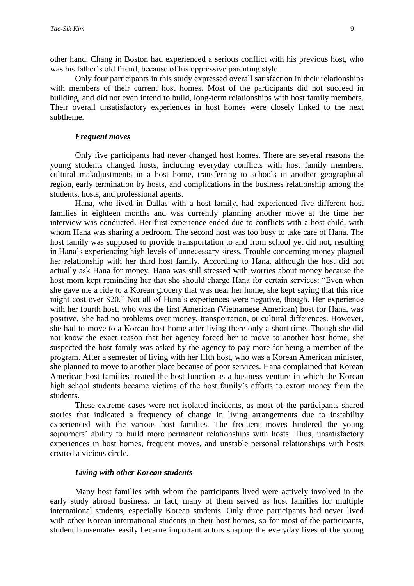other hand, Chang in Boston had experienced a serious conflict with his previous host, who was his father's old friend, because of his oppressive parenting style.

Only four participants in this study expressed overall satisfaction in their relationships with members of their current host homes. Most of the participants did not succeed in building, and did not even intend to build, long-term relationships with host family members. Their overall unsatisfactory experiences in host homes were closely linked to the next subtheme.

#### *Frequent moves*

Only five participants had never changed host homes. There are several reasons the young students changed hosts, including everyday conflicts with host family members, cultural maladjustments in a host home, transferring to schools in another geographical region, early termination by hosts, and complications in the business relationship among the students, hosts, and professional agents.

Hana, who lived in Dallas with a host family, had experienced five different host families in eighteen months and was currently planning another move at the time her interview was conducted. Her first experience ended due to conflicts with a host child, with whom Hana was sharing a bedroom. The second host was too busy to take care of Hana. The host family was supposed to provide transportation to and from school yet did not, resulting in Hana's experiencing high levels of unnecessary stress. Trouble concerning money plagued her relationship with her third host family. According to Hana, although the host did not actually ask Hana for money, Hana was still stressed with worries about money because the host mom kept reminding her that she should charge Hana for certain services: "Even when she gave me a ride to a Korean grocery that was near her home, she kept saying that this ride might cost over \$20." Not all of Hana's experiences were negative, though. Her experience with her fourth host, who was the first American (Vietnamese American) host for Hana, was positive. She had no problems over money, transportation, or cultural differences. However, she had to move to a Korean host home after living there only a short time. Though she did not know the exact reason that her agency forced her to move to another host home, she suspected the host family was asked by the agency to pay more for being a member of the program. After a semester of living with her fifth host, who was a Korean American minister, she planned to move to another place because of poor services. Hana complained that Korean American host families treated the host function as a business venture in which the Korean high school students became victims of the host family's efforts to extort money from the students.

These extreme cases were not isolated incidents, as most of the participants shared stories that indicated a frequency of change in living arrangements due to instability experienced with the various host families. The frequent moves hindered the young sojourners' ability to build more permanent relationships with hosts. Thus, unsatisfactory experiences in host homes, frequent moves, and unstable personal relationships with hosts created a vicious circle.

#### *Living with other Korean students*

Many host families with whom the participants lived were actively involved in the early study abroad business. In fact, many of them served as host families for multiple international students, especially Korean students. Only three participants had never lived with other Korean international students in their host homes, so for most of the participants, student housemates easily became important actors shaping the everyday lives of the young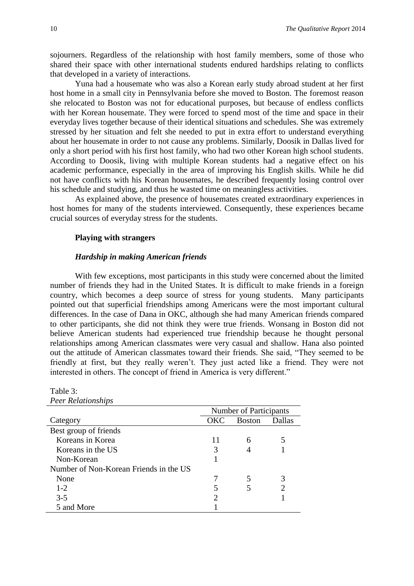sojourners. Regardless of the relationship with host family members, some of those who shared their space with other international students endured hardships relating to conflicts that developed in a variety of interactions.

Yuna had a housemate who was also a Korean early study abroad student at her first host home in a small city in Pennsylvania before she moved to Boston. The foremost reason she relocated to Boston was not for educational purposes, but because of endless conflicts with her Korean housemate. They were forced to spend most of the time and space in their everyday lives together because of their identical situations and schedules. She was extremely stressed by her situation and felt she needed to put in extra effort to understand everything about her housemate in order to not cause any problems. Similarly, Doosik in Dallas lived for only a short period with his first host family, who had two other Korean high school students. According to Doosik, living with multiple Korean students had a negative effect on his academic performance, especially in the area of improving his English skills. While he did not have conflicts with his Korean housemates, he described frequently losing control over his schedule and studying, and thus he wasted time on meaningless activities.

As explained above, the presence of housemates created extraordinary experiences in host homes for many of the students interviewed. Consequently, these experiences became crucial sources of everyday stress for the students.

#### **Playing with strangers**

## *Hardship in making American friends*

With few exceptions, most participants in this study were concerned about the limited number of friends they had in the United States. It is difficult to make friends in a foreign country, which becomes a deep source of stress for young students. Many participants pointed out that superficial friendships among Americans were the most important cultural differences. In the case of Dana in OKC, although she had many American friends compared to other participants, she did not think they were true friends. Wonsang in Boston did not believe American students had experienced true friendship because he thought personal relationships among American classmates were very casual and shallow. Hana also pointed out the attitude of American classmates toward their friends. She said, "They seemed to be friendly at first, but they really weren't. They just acted like a friend. They were not interested in others. The concept of friend in America is very different."

| I COI INCRETORSHIPS                    |                        |               |        |
|----------------------------------------|------------------------|---------------|--------|
|                                        | Number of Participants |               |        |
| Category                               | OKC                    | <b>Boston</b> | Dallas |
| Best group of friends                  |                        |               |        |
| Koreans in Korea                       | 11                     | 6             |        |
| Koreans in the US                      | 3                      |               |        |
| Non-Korean                             |                        |               |        |
| Number of Non-Korean Friends in the US |                        |               |        |
| None                                   |                        | 5             |        |
| $1 - 2$                                |                        |               |        |
| $3 - 5$                                |                        |               |        |
| 5 and More                             |                        |               |        |

Table 3: *Peer Relationships*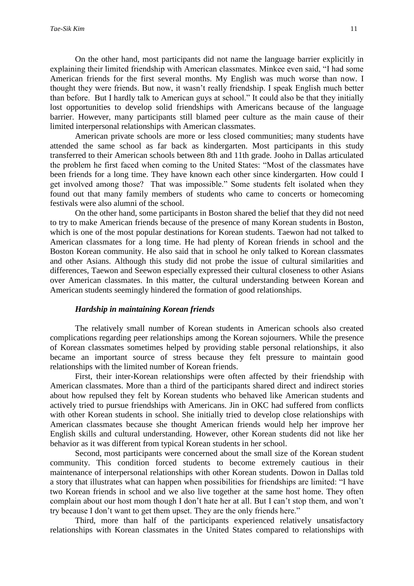On the other hand, most participants did not name the language barrier explicitly in explaining their limited friendship with American classmates. Minkee even said, "I had some American friends for the first several months. My English was much worse than now. I thought they were friends. But now, it wasn't really friendship. I speak English much better than before. But I hardly talk to American guys at school." It could also be that they initially lost opportunities to develop solid friendships with Americans because of the language barrier. However, many participants still blamed peer culture as the main cause of their limited interpersonal relationships with American classmates.

American private schools are more or less closed communities; many students have attended the same school as far back as kindergarten. Most participants in this study transferred to their American schools between 8th and 11th grade. Jooho in Dallas articulated the problem he first faced when coming to the United States: "Most of the classmates have been friends for a long time. They have known each other since kindergarten. How could I get involved among those? That was impossible." Some students felt isolated when they found out that many family members of students who came to concerts or homecoming festivals were also alumni of the school.

On the other hand, some participants in Boston shared the belief that they did not need to try to make American friends because of the presence of many Korean students in Boston, which is one of the most popular destinations for Korean students. Taewon had not talked to American classmates for a long time. He had plenty of Korean friends in school and the Boston Korean community. He also said that in school he only talked to Korean classmates and other Asians. Although this study did not probe the issue of cultural similarities and differences, Taewon and Seewon especially expressed their cultural closeness to other Asians over American classmates. In this matter, the cultural understanding between Korean and American students seemingly hindered the formation of good relationships.

#### *Hardship in maintaining Korean friends*

The relatively small number of Korean students in American schools also created complications regarding peer relationships among the Korean sojourners. While the presence of Korean classmates sometimes helped by providing stable personal relationships, it also became an important source of stress because they felt pressure to maintain good relationships with the limited number of Korean friends.

First, their inter-Korean relationships were often affected by their friendship with American classmates. More than a third of the participants shared direct and indirect stories about how repulsed they felt by Korean students who behaved like American students and actively tried to pursue friendships with Americans. Jin in OKC had suffered from conflicts with other Korean students in school. She initially tried to develop close relationships with American classmates because she thought American friends would help her improve her English skills and cultural understanding. However, other Korean students did not like her behavior as it was different from typical Korean students in her school.

Second, most participants were concerned about the small size of the Korean student community. This condition forced students to become extremely cautious in their maintenance of interpersonal relationships with other Korean students. Dowon in Dallas told a story that illustrates what can happen when possibilities for friendships are limited: "I have two Korean friends in school and we also live together at the same host home. They often complain about our host mom though I don't hate her at all. But I can't stop them, and won't try because I don't want to get them upset. They are the only friends here."

Third, more than half of the participants experienced relatively unsatisfactory relationships with Korean classmates in the United States compared to relationships with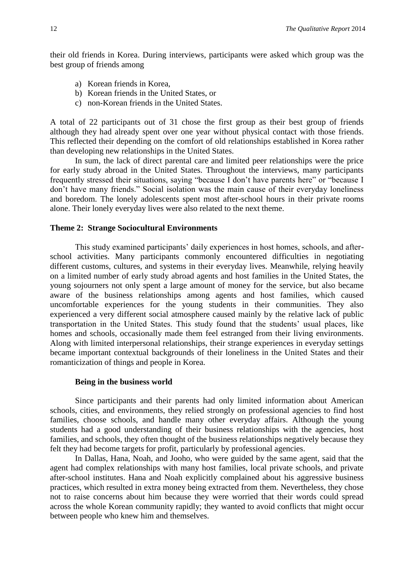their old friends in Korea. During interviews, participants were asked which group was the best group of friends among

- a) Korean friends in Korea,
- b) Korean friends in the United States, or
- c) non-Korean friends in the United States.

A total of 22 participants out of 31 chose the first group as their best group of friends although they had already spent over one year without physical contact with those friends. This reflected their depending on the comfort of old relationships established in Korea rather than developing new relationships in the United States.

In sum, the lack of direct parental care and limited peer relationships were the price for early study abroad in the United States. Throughout the interviews, many participants frequently stressed their situations, saying "because I don't have parents here" or "because I don't have many friends." Social isolation was the main cause of their everyday loneliness and boredom. The lonely adolescents spent most after-school hours in their private rooms alone. Their lonely everyday lives were also related to the next theme.

#### **Theme 2: Strange Sociocultural Environments**

This study examined participants' daily experiences in host homes, schools, and afterschool activities. Many participants commonly encountered difficulties in negotiating different customs, cultures, and systems in their everyday lives. Meanwhile, relying heavily on a limited number of early study abroad agents and host families in the United States, the young sojourners not only spent a large amount of money for the service, but also became aware of the business relationships among agents and host families, which caused uncomfortable experiences for the young students in their communities. They also experienced a very different social atmosphere caused mainly by the relative lack of public transportation in the United States. This study found that the students' usual places, like homes and schools, occasionally made them feel estranged from their living environments. Along with limited interpersonal relationships, their strange experiences in everyday settings became important contextual backgrounds of their loneliness in the United States and their romanticization of things and people in Korea.

#### **Being in the business world**

Since participants and their parents had only limited information about American schools, cities, and environments, they relied strongly on professional agencies to find host families, choose schools, and handle many other everyday affairs. Although the young students had a good understanding of their business relationships with the agencies, host families, and schools, they often thought of the business relationships negatively because they felt they had become targets for profit, particularly by professional agencies.

In Dallas, Hana, Noah, and Jooho, who were guided by the same agent, said that the agent had complex relationships with many host families, local private schools, and private after-school institutes. Hana and Noah explicitly complained about his aggressive business practices, which resulted in extra money being extracted from them. Nevertheless, they chose not to raise concerns about him because they were worried that their words could spread across the whole Korean community rapidly; they wanted to avoid conflicts that might occur between people who knew him and themselves.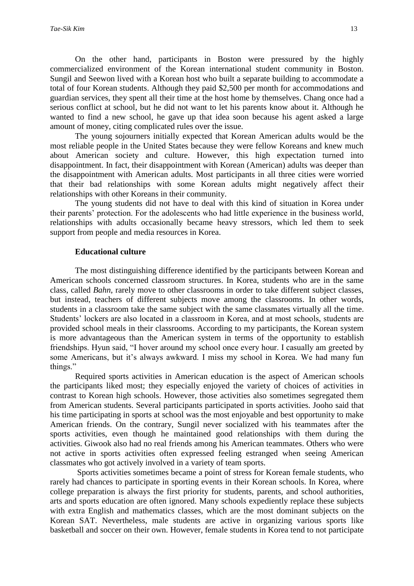On the other hand, participants in Boston were pressured by the highly commercialized environment of the Korean international student community in Boston. Sungil and Seewon lived with a Korean host who built a separate building to accommodate a total of four Korean students. Although they paid \$2,500 per month for accommodations and guardian services, they spent all their time at the host home by themselves. Chang once had a serious conflict at school, but he did not want to let his parents know about it. Although he wanted to find a new school, he gave up that idea soon because his agent asked a large amount of money, citing complicated rules over the issue.

The young sojourners initially expected that Korean American adults would be the most reliable people in the United States because they were fellow Koreans and knew much about American society and culture. However, this high expectation turned into disappointment. In fact, their disappointment with Korean (American) adults was deeper than the disappointment with American adults. Most participants in all three cities were worried that their bad relationships with some Korean adults might negatively affect their relationships with other Koreans in their community.

The young students did not have to deal with this kind of situation in Korea under their parents' protection. For the adolescents who had little experience in the business world, relationships with adults occasionally became heavy stressors, which led them to seek support from people and media resources in Korea.

#### **Educational culture**

The most distinguishing difference identified by the participants between Korean and American schools concerned classroom structures. In Korea, students who are in the same class, called *Bahn*, rarely move to other classrooms in order to take different subject classes, but instead, teachers of different subjects move among the classrooms. In other words, students in a classroom take the same subject with the same classmates virtually all the time. Students' lockers are also located in a classroom in Korea, and at most schools, students are provided school meals in their classrooms. According to my participants, the Korean system is more advantageous than the American system in terms of the opportunity to establish friendships. Hyun said, "I hover around my school once every hour. I casually am greeted by some Americans, but it's always awkward. I miss my school in Korea. We had many fun things."

Required sports activities in American education is the aspect of American schools the participants liked most; they especially enjoyed the variety of choices of activities in contrast to Korean high schools. However, those activities also sometimes segregated them from American students. Several participants participated in sports activities. Jooho said that his time participating in sports at school was the most enjoyable and best opportunity to make American friends. On the contrary, Sungil never socialized with his teammates after the sports activities, even though he maintained good relationships with them during the activities. Giwook also had no real friends among his American teammates. Others who were not active in sports activities often expressed feeling estranged when seeing American classmates who got actively involved in a variety of team sports.

Sports activities sometimes became a point of stress for Korean female students, who rarely had chances to participate in sporting events in their Korean schools. In Korea, where college preparation is always the first priority for students, parents, and school authorities, arts and sports education are often ignored. Many schools expediently replace these subjects with extra English and mathematics classes, which are the most dominant subjects on the Korean SAT. Nevertheless, male students are active in organizing various sports like basketball and soccer on their own. However, female students in Korea tend to not participate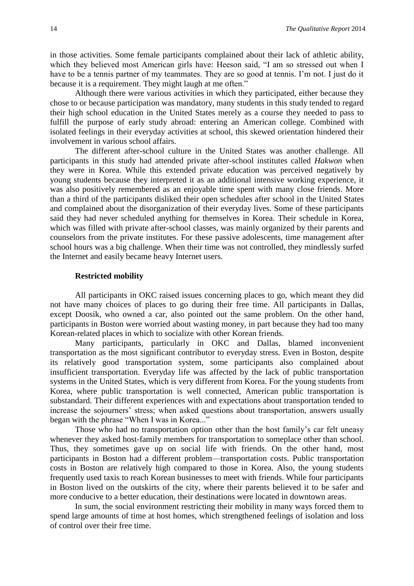in those activities. Some female participants complained about their lack of athletic ability, which they believed most American girls have: Heeson said, "I am so stressed out when I have to be a tennis partner of my teammates. They are so good at tennis. I'm not. I just do it because it is a requirement. They might laugh at me often."

Although there were various activities in which they participated, either because they chose to or because participation was mandatory, many students in this study tended to regard their high school education in the United States merely as a course they needed to pass to fulfill the purpose of early study abroad: entering an American college. Combined with isolated feelings in their everyday activities at school, this skewed orientation hindered their involvement in various school affairs.

The different after-school culture in the United States was another challenge. All participants in this study had attended private after-school institutes called *Hakwon* when they were in Korea. While this extended private education was perceived negatively by young students because they interpreted it as an additional intensive working experience, it was also positively remembered as an enjoyable time spent with many close friends. More than a third of the participants disliked their open schedules after school in the United States and complained about the disorganization of their everyday lives. Some of these participants said they had never scheduled anything for themselves in Korea. Their schedule in Korea, which was filled with private after-school classes, was mainly organized by their parents and counselors from the private institutes. For these passive adolescents, time management after school hours was a big challenge. When their time was not controlled, they mindlessly surfed the Internet and easily became heavy Internet users.

#### **Restricted mobility**

All participants in OKC raised issues concerning places to go, which meant they did not have many choices of places to go during their free time. All participants in Dallas, except Doosik, who owned a car, also pointed out the same problem. On the other hand, participants in Boston were worried about wasting money, in part because they had too many Korean-related places in which to socialize with other Korean friends.

Many participants, particularly in OKC and Dallas, blamed inconvenient transportation as the most significant contributor to everyday stress. Even in Boston, despite its relatively good transportation system, some participants also complained about insufficient transportation. Everyday life was affected by the lack of public transportation systems in the United States, which is very different from Korea. For the young students from Korea, where public transportation is well connected, American public transportation is substandard. Their different experiences with and expectations about transportation tended to increase the sojourners' stress; when asked questions about transportation, answers usually began with the phrase "When I was in Korea..."

Those who had no transportation option other than the host family's car felt uneasy whenever they asked host-family members for transportation to someplace other than school. Thus, they sometimes gave up on social life with friends. On the other hand, most participants in Boston had a different problem—transportation costs. Public transportation costs in Boston are relatively high compared to those in Korea. Also, the young students frequently used taxis to reach Korean businesses to meet with friends. While four participants in Boston lived on the outskirts of the city, where their parents believed it to be safer and more conducive to a better education, their destinations were located in downtown areas.

In sum, the social environment restricting their mobility in many ways forced them to spend large amounts of time at host homes, which strengthened feelings of isolation and loss of control over their free time.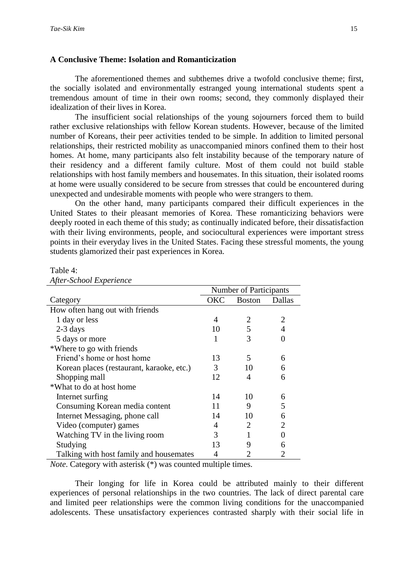#### **A Conclusive Theme: Isolation and Romanticization**

The aforementioned themes and subthemes drive a twofold conclusive theme; first, the socially isolated and environmentally estranged young international students spent a tremendous amount of time in their own rooms; second, they commonly displayed their idealization of their lives in Korea.

The insufficient social relationships of the young sojourners forced them to build rather exclusive relationships with fellow Korean students. However, because of the limited number of Koreans, their peer activities tended to be simple. In addition to limited personal relationships, their restricted mobility as unaccompanied minors confined them to their host homes. At home, many participants also felt instability because of the temporary nature of their residency and a different family culture. Most of them could not build stable relationships with host family members and housemates. In this situation, their isolated rooms at home were usually considered to be secure from stresses that could be encountered during unexpected and undesirable moments with people who were strangers to them.

On the other hand, many participants compared their difficult experiences in the United States to their pleasant memories of Korea. These romanticizing behaviors were deeply rooted in each theme of this study; as continually indicated before, their dissatisfaction with their living environments, people, and sociocultural experiences were important stress points in their everyday lives in the United States. Facing these stressful moments, the young students glamorized their past experiences in Korea.

Table 4:

|  | After-School Experience |
|--|-------------------------|
|  |                         |

|                                           | <b>Number of Participants</b> |               |                |
|-------------------------------------------|-------------------------------|---------------|----------------|
| Category                                  | OKC                           | <b>Boston</b> | Dallas         |
| How often hang out with friends           |                               |               |                |
| 1 day or less                             | 4                             | 2             | 2              |
| $2-3$ days                                | 10                            | 5             |                |
| 5 days or more                            |                               | 3             |                |
| *Where to go with friends                 |                               |               |                |
| Friend's home or host home                | 13                            | 5             | 6              |
| Korean places (restaurant, karaoke, etc.) | 3                             | 10            | 6              |
| Shopping mall                             | 12                            | 4             | 6              |
| *What to do at host home                  |                               |               |                |
| Internet surfing                          | 14                            | 10            | 6              |
| Consuming Korean media content            | 11                            | 9             | 5              |
| Internet Messaging, phone call            | 14                            | 10            | 6              |
| Video (computer) games                    | 4                             | 2             | $\overline{2}$ |
| Watching TV in the living room            | 3                             |               |                |
| Studying                                  | 13                            | 9             | 6              |
| Talking with host family and housemates   | 4                             |               | 2              |

*Note*. Category with asterisk (\*) was counted multiple times.

Their longing for life in Korea could be attributed mainly to their different experiences of personal relationships in the two countries. The lack of direct parental care and limited peer relationships were the common living conditions for the unaccompanied adolescents. These unsatisfactory experiences contrasted sharply with their social life in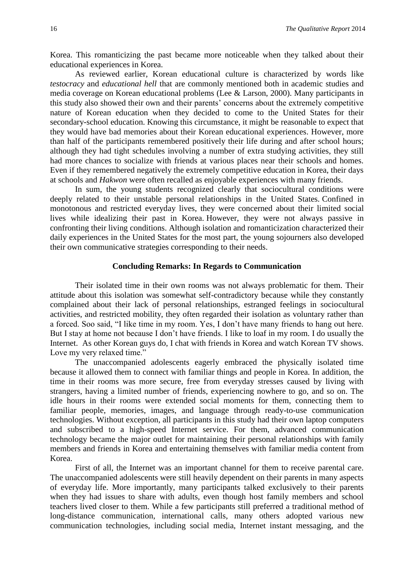Korea. This romanticizing the past became more noticeable when they talked about their educational experiences in Korea.

As reviewed earlier, Korean educational culture is characterized by words like *testocracy* and *educational hell* that are commonly mentioned both in academic studies and media coverage on Korean educational problems (Lee & Larson, 2000). Many participants in this study also showed their own and their parents' concerns about the extremely competitive nature of Korean education when they decided to come to the United States for their secondary-school education. Knowing this circumstance, it might be reasonable to expect that they would have bad memories about their Korean educational experiences. However, more than half of the participants remembered positively their life during and after school hours; although they had tight schedules involving a number of extra studying activities, they still had more chances to socialize with friends at various places near their schools and homes. Even if they remembered negatively the extremely competitive education in Korea, their days at schools and *Hakwon* were often recalled as enjoyable experiences with many friends.

In sum, the young students recognized clearly that sociocultural conditions were deeply related to their unstable personal relationships in the United States. Confined in monotonous and restricted everyday lives, they were concerned about their limited social lives while idealizing their past in Korea. However, they were not always passive in confronting their living conditions. Although isolation and romanticization characterized their daily experiences in the United States for the most part, the young sojourners also developed their own communicative strategies corresponding to their needs.

#### **Concluding Remarks: In Regards to Communication**

Their isolated time in their own rooms was not always problematic for them. Their attitude about this isolation was somewhat self-contradictory because while they constantly complained about their lack of personal relationships, estranged feelings in sociocultural activities, and restricted mobility, they often regarded their isolation as voluntary rather than a forced. Soo said, "I like time in my room. Yes, I don't have many friends to hang out here. But I stay at home not because I don't have friends. I like to loaf in my room. I do usually the Internet. As other Korean guys do, I chat with friends in Korea and watch Korean TV shows. Love my very relaxed time."

The unaccompanied adolescents eagerly embraced the physically isolated time because it allowed them to connect with familiar things and people in Korea. In addition, the time in their rooms was more secure, free from everyday stresses caused by living with strangers, having a limited number of friends, experiencing nowhere to go, and so on. The idle hours in their rooms were extended social moments for them, connecting them to familiar people, memories, images, and language through ready-to-use communication technologies. Without exception, all participants in this study had their own laptop computers and subscribed to a high-speed Internet service. For them, advanced communication technology became the major outlet for maintaining their personal relationships with family members and friends in Korea and entertaining themselves with familiar media content from Korea.

First of all, the Internet was an important channel for them to receive parental care. The unaccompanied adolescents were still heavily dependent on their parents in many aspects of everyday life. More importantly, many participants talked exclusively to their parents when they had issues to share with adults, even though host family members and school teachers lived closer to them. While a few participants still preferred a traditional method of long-distance communication, international calls, many others adopted various new communication technologies, including social media, Internet instant messaging, and the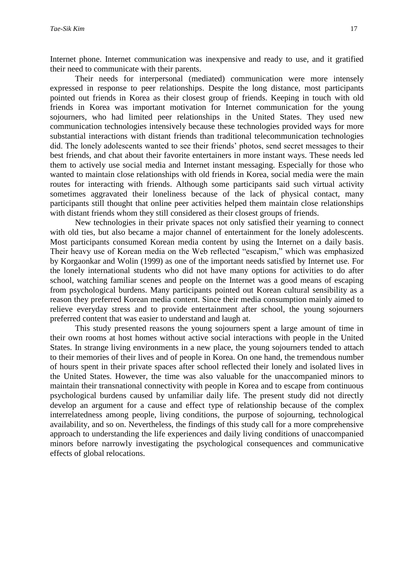Internet phone. Internet communication was inexpensive and ready to use, and it gratified their need to communicate with their parents.

Their needs for interpersonal (mediated) communication were more intensely expressed in response to peer relationships. Despite the long distance, most participants pointed out friends in Korea as their closest group of friends. Keeping in touch with old friends in Korea was important motivation for Internet communication for the young sojourners, who had limited peer relationships in the United States. They used new communication technologies intensively because these technologies provided ways for more substantial interactions with distant friends than traditional telecommunication technologies did. The lonely adolescents wanted to see their friends' photos, send secret messages to their best friends, and chat about their favorite entertainers in more instant ways. These needs led them to actively use social media and Internet instant messaging. Especially for those who wanted to maintain close relationships with old friends in Korea, social media were the main routes for interacting with friends. Although some participants said such virtual activity sometimes aggravated their loneliness because of the lack of physical contact, many participants still thought that online peer activities helped them maintain close relationships with distant friends whom they still considered as their closest groups of friends.

New technologies in their private spaces not only satisfied their yearning to connect with old ties, but also became a major channel of entertainment for the lonely adolescents. Most participants consumed Korean media content by using the Internet on a daily basis. Their heavy use of Korean media on the Web reflected "escapism," which was emphasized by Korgaonkar and Wolin (1999) as one of the important needs satisfied by Internet use. For the lonely international students who did not have many options for activities to do after school, watching familiar scenes and people on the Internet was a good means of escaping from psychological burdens. Many participants pointed out Korean cultural sensibility as a reason they preferred Korean media content. Since their media consumption mainly aimed to relieve everyday stress and to provide entertainment after school, the young sojourners preferred content that was easier to understand and laugh at.

This study presented reasons the young sojourners spent a large amount of time in their own rooms at host homes without active social interactions with people in the United States. In strange living environments in a new place, the young sojourners tended to attach to their memories of their lives and of people in Korea. On one hand, the tremendous number of hours spent in their private spaces after school reflected their lonely and isolated lives in the United States. However, the time was also valuable for the unaccompanied minors to maintain their transnational connectivity with people in Korea and to escape from continuous psychological burdens caused by unfamiliar daily life. The present study did not directly develop an argument for a cause and effect type of relationship because of the complex interrelatedness among people, living conditions, the purpose of sojourning, technological availability, and so on. Nevertheless, the findings of this study call for a more comprehensive approach to understanding the life experiences and daily living conditions of unaccompanied minors before narrowly investigating the psychological consequences and communicative effects of global relocations.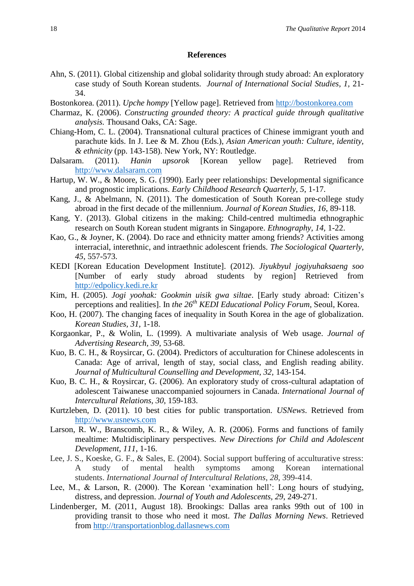#### **References**

- Ahn, S. (2011). Global citizenship and global solidarity through study abroad: An exploratory case study of South Korean students. *Journal of International Social Studies, 1,* 21- 34.
- Bostonkorea. (2011). *Upche hompy* [Yellow page]. Retrieved from [http://bostonkorea.com](http://bostonkorea.com/)
- Charmaz, K. (2006). *Constructing grounded theory: A practical guide through qualitative analysis.* Thousand Oaks, CA: Sage.
- Chiang-Hom, C. L. (2004). Transnational cultural practices of Chinese immigrant youth and parachute kids. In J. Lee & M. Zhou (Eds.), *Asian American youth: Culture, identity, & ethnicity* (pp. 143-158). New York, NY: Routledge.
- Dalsaram. (2011). *Hanin upsorok* [Korean yellow page]. Retrieved from [http://www.dalsaram.com](http://www.dalsaram.com/)
- Hartup, W. W., & Moore, S. G. (1990). Early peer relationships: Developmental significance and prognostic implications. *Early Childhood Research Quarterly, 5*, 1-17.
- Kang, J., & Abelmann, N. (2011). The domestication of South Korean pre-college study abroad in the first decade of the millennium. *Journal of Korean Studies, 16,* 89-118.
- Kang, Y. (2013). Global citizens in the making: Child-centred multimedia ethnographic research on South Korean student migrants in Singapore. *Ethnography, 14,* 1-22.
- Kao, G., & Joyner, K. (2004). Do race and ethnicity matter among friends? Activities among interracial, interethnic, and intraethnic adolescent friends. *The Sociological Quarterly, 45*, 557-573.
- KEDI [Korean Education Development Institute]. (2012). *Jiyukbyul jogiyuhaksaeng soo* [Number of early study abroad students by region] Retrieved from [http://edpolicy.kedi.re.kr](http://edpolicy.kedi.re.kr/)
- Kim, H. (2005). *Jogi yoohak: Gookmin uisik gwa siltae*. [Early study abroad: Citizen's perceptions and realities]. In *the 26th KEDI Educational Policy Forum*, Seoul, Korea.
- Koo, H. (2007). The changing faces of inequality in South Korea in the age of globalization. *Korean Studies, 31,* 1-18.
- Korgaonkar, P., & Wolin, L. (1999). A multivariate analysis of Web usage. *Journal of Advertising Research, 39,* 53-68.
- Kuo, B. C. H., & Roysircar, G. (2004). Predictors of acculturation for Chinese adolescents in Canada: Age of arrival, length of stay, social class, and English reading ability. Journal of Multicultural Counselling and Development, 32, 143-154.
- Kuo, B. C. H., & Roysircar, G. (2006). An exploratory study of cross-cultural adaptation of adolescent Taiwanese unaccompanied sojourners in Canada. *International Journal of Intercultural Relations, 30*, 159-183.
- Kurtzleben, D. (2011). 10 best cities for public transportation. *USNews*. Retrieved from [http://www.usnews.com](http://www.usnews.com/)
- Larson, R. W., Branscomb, K. R., & Wiley, A. R. (2006). Forms and functions of family mealtime: Multidisciplinary perspectives. *New Directions for Child and Adolescent Development*, *111*, 1-16.
- Lee, J. S., Koeske, G. F., & Sales, E. (2004). Social support buffering of acculturative stress: A study of mental health symptoms among Korean international students. *International Journal of Intercultural Relations*, *28*, 399-414.
- Lee, M., & Larson, R. (2000). The Korean 'examination hell': Long hours of studying, distress, and depression. *Journal of Youth and Adolescents, 29*, 249-271.
- Lindenberger, M. (2011, August 18). Brookings: Dallas area ranks 99th out of 100 in providing transit to those who need it most. *The Dallas Morning News*. Retrieved from [http://transportationblog.dallasnews.com](http://transportationblog.dallasnews.com/)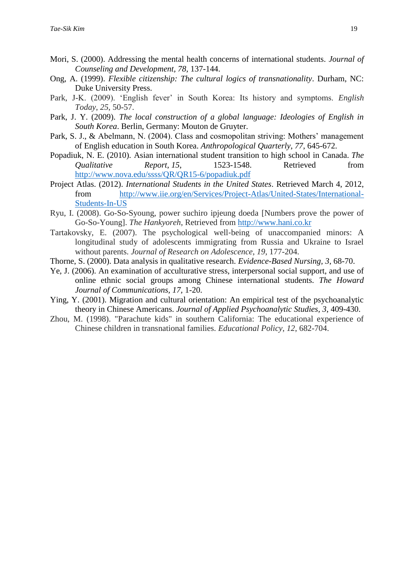- Mori, S. (2000). Addressing the mental health concerns of international students. *Journal of Counseling and Development, 78,* 137-144.
- Ong, A. (1999). *Flexible citizenship: The cultural logics of transnationality*. Durham, NC: Duke University Press.
- Park, J-K. (2009). 'English fever' in South Korea: Its history and symptoms. *English Today*, *25*, 50-57.
- Park, J. Y. (2009). *The local construction of a global language: Ideologies of English in South Korea*. Berlin, Germany: Mouton de Gruyter.
- Park, S. J., & Abelmann, N. (2004). Class and cosmopolitan striving: Mothers' management of English education in South Korea. *Anthropological Quarterly*, *77*, 645-672.
- Popadiuk, N. E. (2010). Asian international student transition to high school in Canada. *The Qualitative Report, 15,* 1523-1548. Retrieved from <http://www.nova.edu/ssss/QR/QR15-6/popadiuk.pdf>
- Project Atlas. (2012). *International Students in the United States*. Retrieved March 4, 2012, from [http://www.iie.org/en/Services/Project-Atlas/United-States/International-](http://www.iie.org/en/Services/Project-Atlas/United-States/International-Students-In-US)[Students-In-US](http://www.iie.org/en/Services/Project-Atlas/United-States/International-Students-In-US)
- Ryu, I. (2008). Go-So-Syoung, power suchiro ipjeung doeda [Numbers prove the power of Go-So-Young]. *The Hankyoreh*, Retrieved from [http://www.hani.co.kr](http://www.hani.co.kr/)
- Tartakovsky, E. (2007). The psychological well‐being of unaccompanied minors: A longitudinal study of adolescents immigrating from Russia and Ukraine to Israel without parents. *Journal of Research on Adolescence*, *19*, 177-204.
- Thorne, S. (2000). Data analysis in qualitative research. *Evidence-Based Nursing, 3,* 68-70.
- Ye, J. (2006). An examination of acculturative stress, interpersonal social support, and use of online ethnic social groups among Chinese international students. *The Howard Journal of Communications, 17,* 1-20.
- Ying, Y. (2001). Migration and cultural orientation: An empirical test of the psychoanalytic theory in Chinese Americans. *Journal of Applied Psychoanalytic Studies, 3*, 409-430.
- Zhou, M. (1998). "Parachute kids" in southern California: The educational experience of Chinese children in transnational families. *Educational Policy*, *12*, 682-704.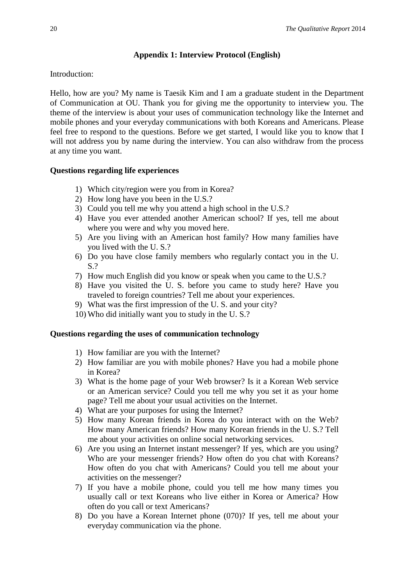# **Appendix 1: Interview Protocol (English)**

Introduction:

Hello, how are you? My name is Taesik Kim and I am a graduate student in the Department of Communication at OU. Thank you for giving me the opportunity to interview you. The theme of the interview is about your uses of communication technology like the Internet and mobile phones and your everyday communications with both Koreans and Americans. Please feel free to respond to the questions. Before we get started, I would like you to know that I will not address you by name during the interview. You can also withdraw from the process at any time you want.

# **Questions regarding life experiences**

- 1) Which city/region were you from in Korea?
- 2) How long have you been in the U.S.?
- 3) Could you tell me why you attend a high school in the U.S.?
- 4) Have you ever attended another American school? If yes, tell me about where you were and why you moved here.
- 5) Are you living with an American host family? How many families have you lived with the U. S.?
- 6) Do you have close family members who regularly contact you in the U. S.?
- 7) How much English did you know or speak when you came to the U.S.?
- 8) Have you visited the U. S. before you came to study here? Have you traveled to foreign countries? Tell me about your experiences.
- 9) What was the first impression of the U. S. and your city?
- 10) Who did initially want you to study in the U. S.?

# **Questions regarding the uses of communication technology**

- 1) How familiar are you with the Internet?
- 2) How familiar are you with mobile phones? Have you had a mobile phone in Korea?
- 3) What is the home page of your Web browser? Is it a Korean Web service or an American service? Could you tell me why you set it as your home page? Tell me about your usual activities on the Internet.
- 4) What are your purposes for using the Internet?
- 5) How many Korean friends in Korea do you interact with on the Web? How many American friends? How many Korean friends in the U. S.? Tell me about your activities on online social networking services.
- 6) Are you using an Internet instant messenger? If yes, which are you using? Who are your messenger friends? How often do you chat with Koreans? How often do you chat with Americans? Could you tell me about your activities on the messenger?
- 7) If you have a mobile phone, could you tell me how many times you usually call or text Koreans who live either in Korea or America? How often do you call or text Americans?
- 8) Do you have a Korean Internet phone (070)? If yes, tell me about your everyday communication via the phone.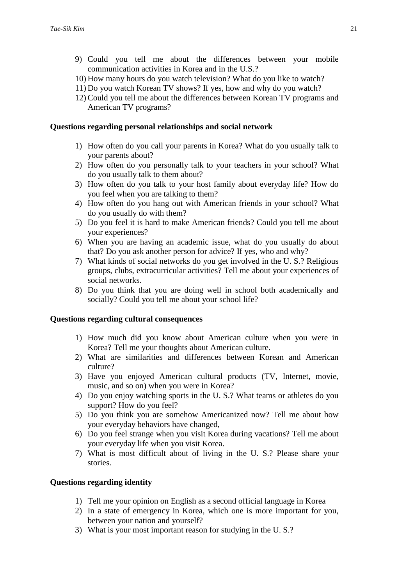- 9) Could you tell me about the differences between your mobile communication activities in Korea and in the U.S.?
- 10) How many hours do you watch television? What do you like to watch?
- 11) Do you watch Korean TV shows? If yes, how and why do you watch?
- 12) Could you tell me about the differences between Korean TV programs and American TV programs?

#### **Questions regarding personal relationships and social network**

- 1) How often do you call your parents in Korea? What do you usually talk to your parents about?
- 2) How often do you personally talk to your teachers in your school? What do you usually talk to them about?
- 3) How often do you talk to your host family about everyday life? How do you feel when you are talking to them?
- 4) How often do you hang out with American friends in your school? What do you usually do with them?
- 5) Do you feel it is hard to make American friends? Could you tell me about your experiences?
- 6) When you are having an academic issue, what do you usually do about that? Do you ask another person for advice? If yes, who and why?
- 7) What kinds of social networks do you get involved in the U. S.? Religious groups, clubs, extracurricular activities? Tell me about your experiences of social networks.
- 8) Do you think that you are doing well in school both academically and socially? Could you tell me about your school life?

#### **Questions regarding cultural consequences**

- 1) How much did you know about American culture when you were in Korea? Tell me your thoughts about American culture.
- 2) What are similarities and differences between Korean and American culture?
- 3) Have you enjoyed American cultural products (TV, Internet, movie, music, and so on) when you were in Korea?
- 4) Do you enjoy watching sports in the U. S.? What teams or athletes do you support? How do you feel?
- 5) Do you think you are somehow Americanized now? Tell me about how your everyday behaviors have changed,
- 6) Do you feel strange when you visit Korea during vacations? Tell me about your everyday life when you visit Korea.
- 7) What is most difficult about of living in the U. S.? Please share your stories.

#### **Questions regarding identity**

- 1) Tell me your opinion on English as a second official language in Korea
- 2) In a state of emergency in Korea, which one is more important for you, between your nation and yourself?
- 3) What is your most important reason for studying in the U. S.?